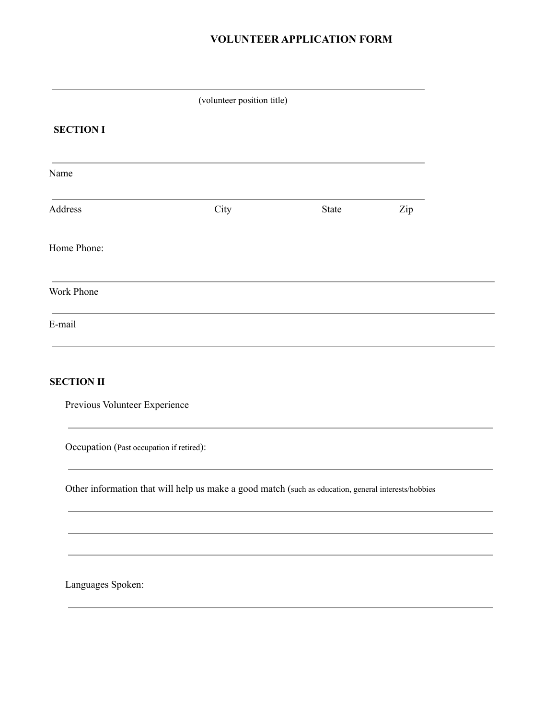# **VOLUNTEER APPLICATION FORM**

|                                          | (volunteer position title)                                                                          |       |     |  |
|------------------------------------------|-----------------------------------------------------------------------------------------------------|-------|-----|--|
| <b>SECTION I</b>                         |                                                                                                     |       |     |  |
| Name                                     |                                                                                                     |       |     |  |
| Address                                  | City                                                                                                | State | Zip |  |
| Home Phone:                              |                                                                                                     |       |     |  |
| Work Phone                               |                                                                                                     |       |     |  |
| E-mail                                   |                                                                                                     |       |     |  |
| <b>SECTION II</b>                        |                                                                                                     |       |     |  |
| Previous Volunteer Experience            |                                                                                                     |       |     |  |
| Occupation (Past occupation if retired): |                                                                                                     |       |     |  |
|                                          | Other information that will help us make a good match (such as education, general interests/hobbies |       |     |  |
|                                          |                                                                                                     |       |     |  |
|                                          |                                                                                                     |       |     |  |
| Languages Spoken:                        |                                                                                                     |       |     |  |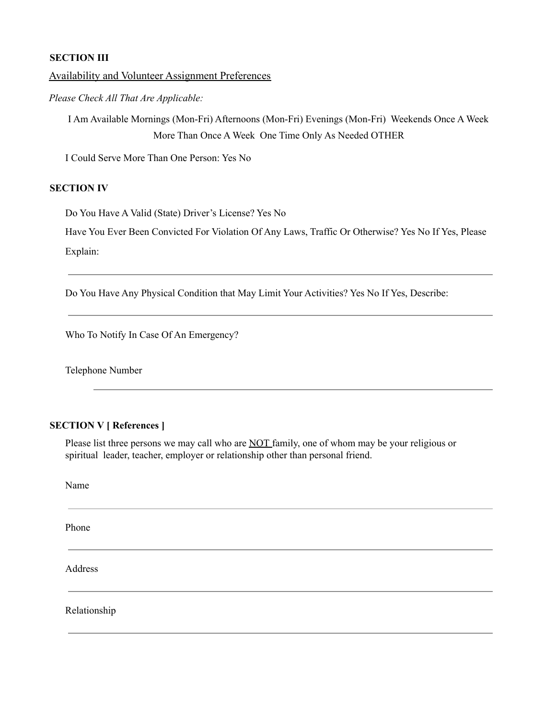## **SECTION III**

### Availability and Volunteer Assignment Preferences

*Please Check All That Are Applicable:*

I Am Available Mornings (Mon-Fri) Afternoons (Mon-Fri) Evenings (Mon-Fri) Weekends Once A Week More Than Once A Week One Time Only As Needed OTHER

I Could Serve More Than One Person: Yes No

## **SECTION IV**

Do You Have A Valid (State) Driver's License? Yes No

Have You Ever Been Convicted For Violation Of Any Laws, Traffic Or Otherwise? Yes No If Yes, Please Explain:

Do You Have Any Physical Condition that May Limit Your Activities? Yes No If Yes, Describe:

Who To Notify In Case Of An Emergency?

Telephone Number

# **SECTION V [ References ]**

Please list three persons we may call who are **NOT** family, one of whom may be your religious or spiritual leader, teacher, employer or relationship other than personal friend.

Name Phone Address Relationship